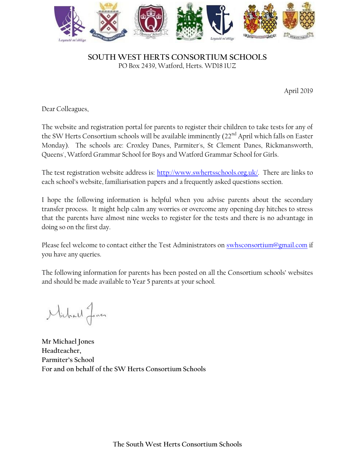

## **SOUTH WEST HERTS CONSORTIUM SCHOOLS** PO Box 2439, Watford, Herts. WD18 1UZ

April 2019

Dear Colleagues,

The website and registration portal for parents to register their children to take tests for any of the SW Herts Consortium schools will be available imminently  $(22<sup>nd</sup>$  April which falls on Easter Monday). The schools are: Croxley Danes, Parmiter's, St Clement Danes, Rickmansworth, Queens', Watford Grammar School for Boys and Watford Grammar School for Girls.

The test registration website address is: [http://www.swhertsschools.org.uk/.](http://www.swhertsschools.org.uk/) There are links to each school's website, familiarisation papers and a frequently asked questions section.

I hope the following information is helpful when you advise parents about the secondary transfer process. It might help calm any worries or overcome any opening day hitches to stress that the parents have almost nine weeks to register for the tests and there is no advantage in doing so on the first day.

Please feel welcome to contact either the Test Administrators on [swhsconsortium@gmail.com](mailto:swhsconsortium@gmail.com) if you have any queries.

The following information for parents has been posted on all the Consortium schools' websites and should be made available to Year 5 parents at your school.

Michael Jones

**Mr Michael Jones Headteacher, Parmiter's School For and on behalf of the SW Herts Consortium Schools**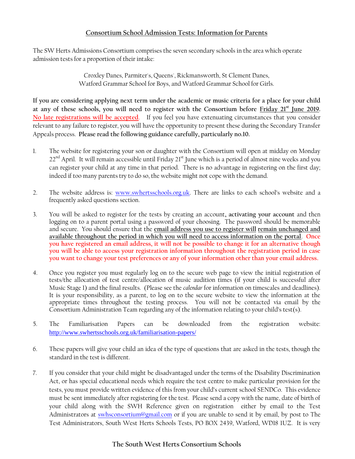## **Consortium School Admission Tests: Information for Parents**

The SW Herts Admissions Consortium comprises the seven secondary schools in the area which operate admission tests for a proportion of their intake:

> Croxley Danes, Parmiter's, Queens', Rickmansworth, St Clement Danes, Watford Grammar School for Boys, and Watford Grammar School for Girls.

**If you are considering applying next term under the academic or music criteria for a place for your child at any of these schools, you will need to register with the Consortium before Friday 21st June 2019. No late registrations will be accepted**. If you feel you have extenuating circumstances that you consider relevant to any failure to register, you will have the opportunity to present these during the Secondary Transfer Appeals process. **Please read the following guidance carefully, particularly no.10.**

- 1. The website for registering your son or daughter with the Consortium will open at midday on Monday  $22^{nd}$  April. It will remain accessible until Friday  $21^{st}$  June which is a period of almost nine weeks and you can register your child at any time in that period. There is no advantage in registering on the first day; indeed if too many parents try to do so, the website might not cope with the demand.
- 2. The website address is: [www.swhertsschools.org.uk.](https://amxprd0310.outlook.com/owa/redir.aspx?C=oUnGPQtMfk60ZrIq5z8iv0o0dN0TAs8IXy9uUK3FeUX_MSaoH9QINgZzUP5t2jUvtTQkC_N0vyc.&URL=http%3a%2f%2fwww.swhertsschools.org.uk) There are links to each school's website and a frequently asked questions section.
- 3. You will be asked to register for the tests by creating an account**, activating your account** and then logging on to a parent portal using a password of your choosing. The password should be memorable and secure. You should ensure that the **email address you use to register will remain unchanged and available throughout the period in which you will need to access information on the portal**. **Once you have registered an email address, it will not be possible to change it for an alternative though you will be able to access your registration information throughout the registration period in case you want to change your test preferences or any of your information other than your email address.**
- 4. Once you register you must regularly log on to the secure web page to view the initial registration of tests/the allocation of test centre/allocation of music audition times (if your child is successful after Music Stage 1) and the final results. (Please see the *calendar* for information on timescales and deadlines). It is your responsibility, as a parent, to log on to the secure website to view the information at the appropriate times throughout the testing process. You will not be contacted via email by the Consortium Administration Team regarding any of the information relating to your child's test(s).
- 5. The Familiarisation Papers can be downloaded from the registration website: <http://www.swhertsschools.org.uk/familiarisation-papers/>
- 6. These papers will give your child an idea of the type of questions that are asked in the tests, though the standard in the test is different.
- 7. If you consider that your child might be disadvantaged under the terms of the Disability Discrimination Act, or has special educational needs which require the test centre to make particular provision for the tests, you must provide written evidence of this from your child's current school SENDCo. This evidence must be sent immediately after registering for the test. Please send a copy with the name, date of birth of your child along with the SWH Reference given on registration either by email to the Test Administrators at [swhsconsortium@gmail.com](mailto:swhsconsortium@gmail.com) or if you are unable to send it by email, by post to The Test Administrators, South West Herts Schools Tests, PO BOX 2439, Watford, WD18 1UZ. It is very

## **The South West Herts Consortium Schools**